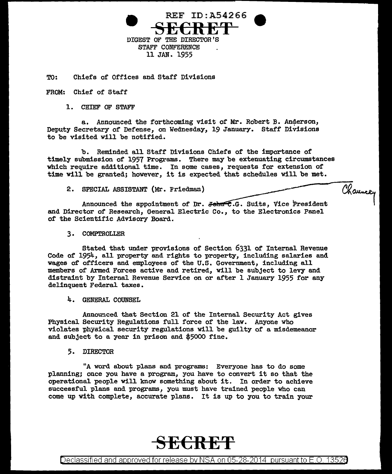

TO: Chiefs of Offices and Staff Divisions

FROM: Chief of Staff

1. CHIEF OF STAFF

a. Announced the forthcoming visit of Mr. Robert B. Anderson, Deputy Secretary of Defense, on Wednesday, 19 January. Staff Divisions to be visited will be notified.

b. Reminded all Staff Divisions Chiefs of the importance of timely submission of 1957 Programs. There may be extenuating circumstances which require additional time. In some cases, requests for extension of time will be granted; however, it is expected that schedules will be met.

Channey

2. SPECIAL ASSISTANT (Mr. Friedman)

Announced the appointment of Dr.  $\phi$ - $\pi$ . G. Suits, Vice President and Director of Research, General Electric Co., to the Electronics Panel of the Scientific Advisory Board.

3. COMPTROLLER

Stated that under provisions of Section 6331 of Internal Revenue Code of 1954, all property and rights to property, including salaries and wages of officers and employees of the U.S. Government, including all members of Armed Forces active and retired, will be subject to levy and distraint by Internal Revenue Service on or after 1 January 1955 for any delinquent Federal taxes.

4. GENERAL COUNSEL

Announced that Section 21 of the Internal Security Act gives Physical Security Regulations full force of the law. Anyone who violates physical security regulations will be guilty of a misdemeanor and subject to a year in prison and \$5000 fine.

5. DIRECTOR

"A word about plans and programs: Everyone has to do some planning; once you have a program, you have to convert it so that the operational people will know something about it. In order to achieve successful plans and programs, you must have trained people who can come up with complete, accurate plans. It is up to you to train your